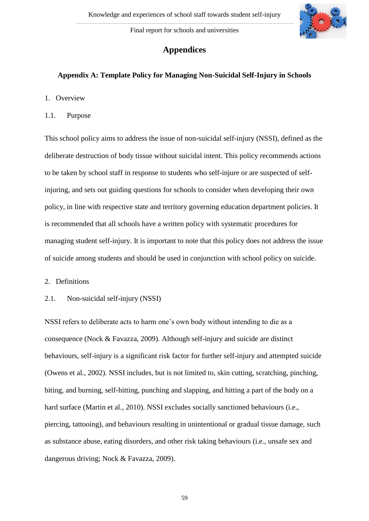

# **Appendices**

# **Appendix A: Template Policy for Managing Non-Suicidal Self-Injury in Schools**

- 1. Overview
- 1.1. Purpose

This school policy aims to address the issue of non-suicidal self-injury (NSSI), defined as the deliberate destruction of body tissue without suicidal intent. This policy recommends actions to be taken by school staff in response to students who self-injure or are suspected of selfinjuring, and sets out guiding questions for schools to consider when developing their own policy, in line with respective state and territory governing education department policies. It is recommended that all schools have a written policy with systematic procedures for managing student self-injury. It is important to note that this policy does not address the issue of suicide among students and should be used in conjunction with school policy on suicide.

- 2. Definitions
- 2.1. Non-suicidal self-injury (NSSI)

NSSI refers to deliberate acts to harm one's own body without intending to die as a consequence (Nock & Favazza, 2009). Although self-injury and suicide are distinct behaviours, self-injury is a significant risk factor for further self-injury and attempted suicide (Owens et al., 2002). NSSI includes, but is not limited to, skin cutting, scratching, pinching, biting, and burning, self-hitting, punching and slapping, and hitting a part of the body on a hard surface (Martin et al., 2010). NSSI excludes socially sanctioned behaviours (i.e., piercing, tattooing), and behaviours resulting in unintentional or gradual tissue damage, such as substance abuse, eating disorders, and other risk taking behaviours (i.e., unsafe sex and dangerous driving; Nock & Favazza, 2009).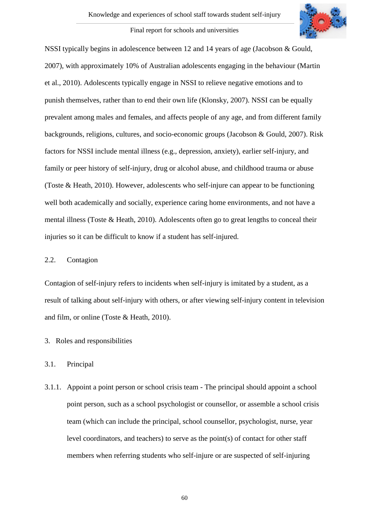NSSI typically begins in adolescence between 12 and 14 years of age (Jacobson & Gould, 2007), with approximately 10% of Australian adolescents engaging in the behaviour (Martin et al., 2010). Adolescents typically engage in NSSI to relieve negative emotions and to punish themselves, rather than to end their own life (Klonsky, 2007). NSSI can be equally prevalent among males and females, and affects people of any age, and from different family backgrounds, religions, cultures, and socio-economic groups (Jacobson & Gould, 2007). Risk factors for NSSI include mental illness (e.g., depression, anxiety), earlier self-injury, and family or peer history of self-injury, drug or alcohol abuse, and childhood trauma or abuse (Toste & Heath, 2010). However, adolescents who self-injure can appear to be functioning well both academically and socially, experience caring home environments, and not have a mental illness (Toste & Heath, 2010). Adolescents often go to great lengths to conceal their injuries so it can be difficult to know if a student has self-injured.

### 2.2. Contagion

Contagion of self-injury refers to incidents when self-injury is imitated by a student, as a result of talking about self-injury with others, or after viewing self-injury content in television and film, or online (Toste & Heath, 2010).

# 3. Roles and responsibilities

# 3.1. Principal

3.1.1. Appoint a point person or school crisis team - The principal should appoint a school point person, such as a school psychologist or counsellor, or assemble a school crisis team (which can include the principal, school counsellor, psychologist, nurse, year level coordinators, and teachers) to serve as the point(s) of contact for other staff members when referring students who self-injure or are suspected of self-injuring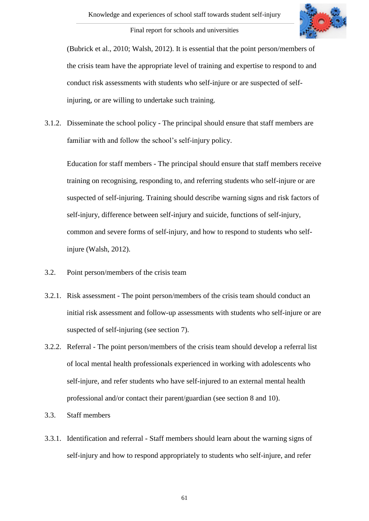

(Bubrick et al., 2010; Walsh, 2012). It is essential that the point person/members of the crisis team have the appropriate level of training and expertise to respond to and conduct risk assessments with students who self-injure or are suspected of selfinjuring, or are willing to undertake such training.

3.1.2. Disseminate the school policy - The principal should ensure that staff members are familiar with and follow the school's self-injury policy.

Education for staff members - The principal should ensure that staff members receive training on recognising, responding to, and referring students who self-injure or are suspected of self-injuring. Training should describe warning signs and risk factors of self-injury, difference between self-injury and suicide, functions of self-injury, common and severe forms of self-injury, and how to respond to students who selfinjure (Walsh, 2012).

- 3.2. Point person/members of the crisis team
- 3.2.1. Risk assessment The point person/members of the crisis team should conduct an initial risk assessment and follow-up assessments with students who self-injure or are suspected of self-injuring (see section 7).
- 3.2.2. Referral The point person/members of the crisis team should develop a referral list of local mental health professionals experienced in working with adolescents who self-injure, and refer students who have self-injured to an external mental health professional and/or contact their parent/guardian (see section 8 and 10).
- 3.3. Staff members
- 3.3.1. Identification and referral Staff members should learn about the warning signs of self-injury and how to respond appropriately to students who self-injure, and refer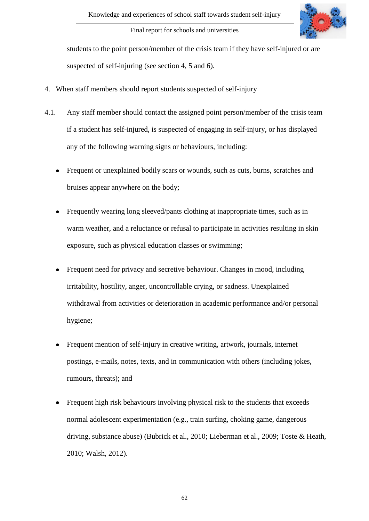

students to the point person/member of the crisis team if they have self-injured or are suspected of self-injuring (see section 4, 5 and 6).

- 4. When staff members should report students suspected of self-injury
- 4.1. Any staff member should contact the assigned point person/member of the crisis team if a student has self-injured, is suspected of engaging in self-injury, or has displayed any of the following warning signs or behaviours, including:
	- Frequent or unexplained bodily scars or wounds, such as cuts, burns, scratches and  $\bullet$ bruises appear anywhere on the body;
	- Frequently wearing long sleeved/pants clothing at inappropriate times, such as in  $\bullet$ warm weather, and a reluctance or refusal to participate in activities resulting in skin exposure, such as physical education classes or swimming;
	- Frequent need for privacy and secretive behaviour. Changes in mood, including irritability, hostility, anger, uncontrollable crying, or sadness. Unexplained withdrawal from activities or deterioration in academic performance and/or personal hygiene;
	- Frequent mention of self-injury in creative writing, artwork, journals, internet  $\bullet$ postings, e-mails, notes, texts, and in communication with others (including jokes, rumours, threats); and
	- Frequent high risk behaviours involving physical risk to the students that exceeds normal adolescent experimentation (e.g., train surfing, choking game, dangerous driving, substance abuse) (Bubrick et al., 2010; Lieberman et al., 2009; Toste & Heath, 2010; Walsh, 2012).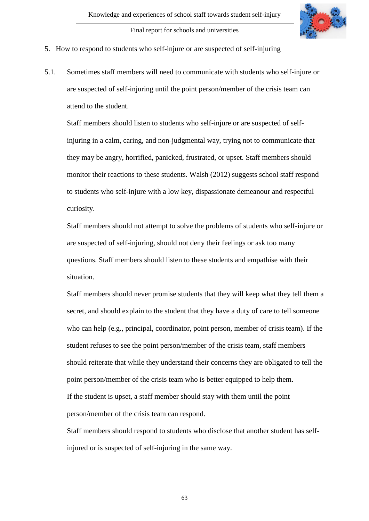

- 5. How to respond to students who self-injure or are suspected of self-injuring
- 5.1. Sometimes staff members will need to communicate with students who self-injure or are suspected of self-injuring until the point person/member of the crisis team can attend to the student.

Staff members should listen to students who self-injure or are suspected of selfinjuring in a calm, caring, and non-judgmental way, trying not to communicate that they may be angry, horrified, panicked, frustrated, or upset. Staff members should monitor their reactions to these students. Walsh (2012) suggests school staff respond to students who self-injure with a low key, dispassionate demeanour and respectful curiosity.

Staff members should not attempt to solve the problems of students who self-injure or are suspected of self-injuring, should not deny their feelings or ask too many questions. Staff members should listen to these students and empathise with their situation.

Staff members should never promise students that they will keep what they tell them a secret, and should explain to the student that they have a duty of care to tell someone who can help (e.g., principal, coordinator, point person, member of crisis team). If the student refuses to see the point person/member of the crisis team, staff members should reiterate that while they understand their concerns they are obligated to tell the point person/member of the crisis team who is better equipped to help them. If the student is upset, a staff member should stay with them until the point person/member of the crisis team can respond.

Staff members should respond to students who disclose that another student has selfinjured or is suspected of self-injuring in the same way.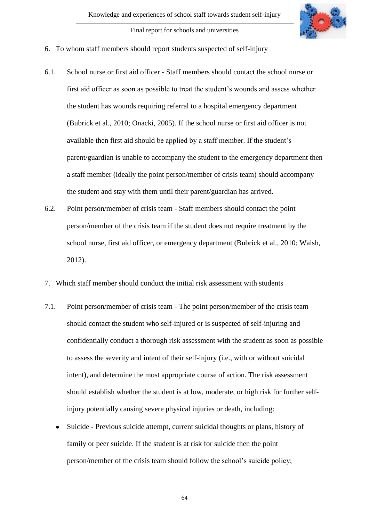

- 6. To whom staff members should report students suspected of self-injury
- 6.1. School nurse or first aid officer Staff members should contact the school nurse or first aid officer as soon as possible to treat the student's wounds and assess whether the student has wounds requiring referral to a hospital emergency department (Bubrick et al., 2010; Onacki, 2005). If the school nurse or first aid officer is not available then first aid should be applied by a staff member. If the student's parent/guardian is unable to accompany the student to the emergency department then a staff member (ideally the point person/member of crisis team) should accompany the student and stay with them until their parent/guardian has arrived.
- 6.2. Point person/member of crisis team Staff members should contact the point person/member of the crisis team if the student does not require treatment by the school nurse, first aid officer, or emergency department (Bubrick et al., 2010; Walsh, 2012).
- 7. Which staff member should conduct the initial risk assessment with students
- 7.1. Point person/member of crisis team The point person/member of the crisis team should contact the student who self-injured or is suspected of self-injuring and confidentially conduct a thorough risk assessment with the student as soon as possible to assess the severity and intent of their self-injury (i.e., with or without suicidal intent), and determine the most appropriate course of action. The risk assessment should establish whether the student is at low, moderate, or high risk for further selfinjury potentially causing severe physical injuries or death, including:
	- Suicide Previous suicide attempt, current suicidal thoughts or plans, history of  $\bullet$ family or peer suicide. If the student is at risk for suicide then the point person/member of the crisis team should follow the school's suicide policy;

64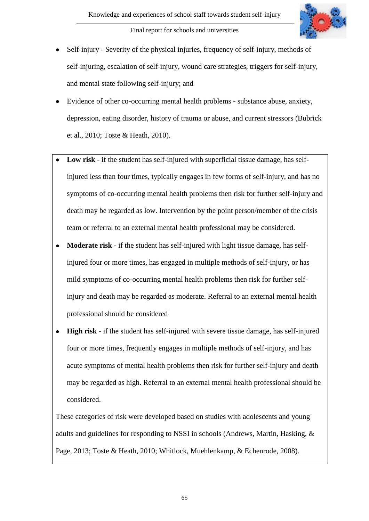

- Self-injury Severity of the physical injuries, frequency of self-injury, methods of self-injuring, escalation of self-injury, wound care strategies, triggers for self-injury, and mental state following self-injury; and
- Evidence of other co-occurring mental health problems substance abuse, anxiety, depression, eating disorder, history of trauma or abuse, and current stressors (Bubrick et al., 2010; Toste & Heath, 2010).
- **Low risk** if the student has self-injured with superficial tissue damage, has selfinjured less than four times, typically engages in few forms of self-injury, and has no symptoms of co-occurring mental health problems then risk for further self-injury and death may be regarded as low. Intervention by the point person/member of the crisis team or referral to an external mental health professional may be considered.
- **Moderate risk** if the student has self-injured with light tissue damage, has self- $\bullet$ injured four or more times, has engaged in multiple methods of self-injury, or has mild symptoms of co-occurring mental health problems then risk for further selfinjury and death may be regarded as moderate. Referral to an external mental health professional should be considered
- **High risk** if the student has self-injured with severe tissue damage, has self-injured  $\bullet$ four or more times, frequently engages in multiple methods of self-injury, and has acute symptoms of mental health problems then risk for further self-injury and death may be regarded as high. Referral to an external mental health professional should be considered.

These categories of risk were developed based on studies with adolescents and young adults and guidelines for responding to NSSI in schools (Andrews, Martin, Hasking, & Page, 2013; Toste & Heath, 2010; Whitlock, Muehlenkamp, & Echenrode, 2008).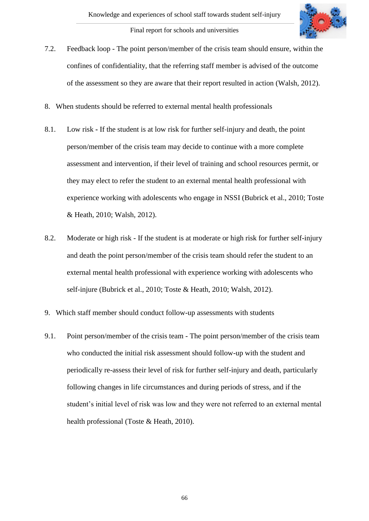

- 7.2. Feedback loop The point person/member of the crisis team should ensure, within the confines of confidentiality, that the referring staff member is advised of the outcome of the assessment so they are aware that their report resulted in action (Walsh, 2012).
- 8. When students should be referred to external mental health professionals
- 8.1. Low risk **-** If the student is at low risk for further self-injury and death, the point person/member of the crisis team may decide to continue with a more complete assessment and intervention, if their level of training and school resources permit, or they may elect to refer the student to an external mental health professional with experience working with adolescents who engage in NSSI (Bubrick et al., 2010; Toste & Heath, 2010; Walsh, 2012).
- 8.2. Moderate or high risk If the student is at moderate or high risk for further self-injury and death the point person/member of the crisis team should refer the student to an external mental health professional with experience working with adolescents who self-injure (Bubrick et al., 2010; Toste & Heath, 2010; Walsh, 2012).
- 9. Which staff member should conduct follow-up assessments with students
- 9.1. Point person/member of the crisis team The point person/member of the crisis team who conducted the initial risk assessment should follow-up with the student and periodically re-assess their level of risk for further self-injury and death, particularly following changes in life circumstances and during periods of stress, and if the student's initial level of risk was low and they were not referred to an external mental health professional (Toste & Heath, 2010).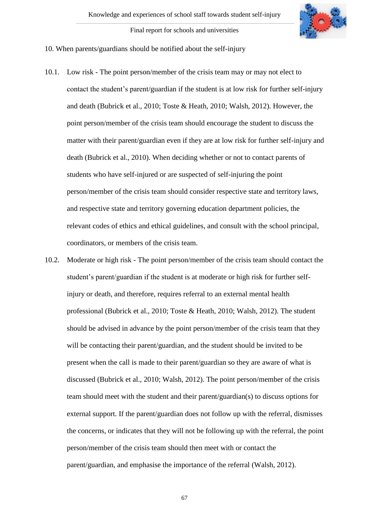

### 10. When parents/guardians should be notified about the self-injury

- 10.1. Low risk The point person/member of the crisis team may or may not elect to contact the student's parent/guardian if the student is at low risk for further self-injury and death (Bubrick et al., 2010; Toste & Heath, 2010; Walsh, 2012). However, the point person/member of the crisis team should encourage the student to discuss the matter with their parent/guardian even if they are at low risk for further self-injury and death (Bubrick et al., 2010). When deciding whether or not to contact parents of students who have self-injured or are suspected of self-injuring the point person/member of the crisis team should consider respective state and territory laws, and respective state and territory governing education department policies, the relevant codes of ethics and ethical guidelines, and consult with the school principal, coordinators, or members of the crisis team.
- 10.2. Moderate or high risk The point person/member of the crisis team should contact the student's parent/guardian if the student is at moderate or high risk for further selfinjury or death, and therefore, requires referral to an external mental health professional (Bubrick et al., 2010; Toste & Heath, 2010; Walsh, 2012). The student should be advised in advance by the point person/member of the crisis team that they will be contacting their parent/guardian, and the student should be invited to be present when the call is made to their parent/guardian so they are aware of what is discussed (Bubrick et al., 2010; Walsh, 2012). The point person/member of the crisis team should meet with the student and their parent/guardian(s) to discuss options for external support. If the parent/guardian does not follow up with the referral, dismisses the concerns, or indicates that they will not be following up with the referral, the point person/member of the crisis team should then meet with or contact the parent/guardian, and emphasise the importance of the referral (Walsh, 2012).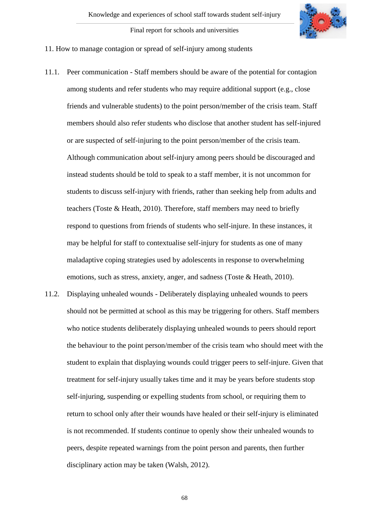

### 11. How to manage contagion or spread of self-injury among students

- 11.1. Peer communication Staff members should be aware of the potential for contagion among students and refer students who may require additional support (e.g., close friends and vulnerable students) to the point person/member of the crisis team. Staff members should also refer students who disclose that another student has self-injured or are suspected of self-injuring to the point person/member of the crisis team. Although communication about self-injury among peers should be discouraged and instead students should be told to speak to a staff member, it is not uncommon for students to discuss self-injury with friends, rather than seeking help from adults and teachers (Toste & Heath, 2010). Therefore, staff members may need to briefly respond to questions from friends of students who self-injure. In these instances, it may be helpful for staff to contextualise self-injury for students as one of many maladaptive coping strategies used by adolescents in response to overwhelming emotions, such as stress, anxiety, anger, and sadness (Toste & Heath, 2010).
- 11.2. Displaying unhealed wounds Deliberately displaying unhealed wounds to peers should not be permitted at school as this may be triggering for others. Staff members who notice students deliberately displaying unhealed wounds to peers should report the behaviour to the point person/member of the crisis team who should meet with the student to explain that displaying wounds could trigger peers to self-injure. Given that treatment for self-injury usually takes time and it may be years before students stop self-injuring, suspending or expelling students from school, or requiring them to return to school only after their wounds have healed or their self-injury is eliminated is not recommended. If students continue to openly show their unhealed wounds to peers, despite repeated warnings from the point person and parents, then further disciplinary action may be taken (Walsh, 2012).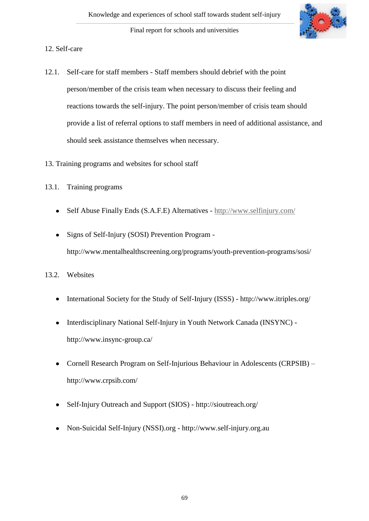

# 12. Self-care

- 12.1. Self-care for staff members Staff members should debrief with the point person/member of the crisis team when necessary to discuss their feeling and reactions towards the self-injury. The point person/member of crisis team should provide a list of referral options to staff members in need of additional assistance, and should seek assistance themselves when necessary.
- 13. Training programs and websites for school staff
- 13.1. Training programs
	- Self Abuse Finally Ends (S.A.F.E) Alternatives <http://www.selfinjury.com/>
	- Signs of Self-Injury (SOSI) Prevention Program http://www.mentalhealthscreening.org/programs/youth-prevention-programs/sosi/

# 13.2. Websites

- International Society for the Study of Self-Injury (ISSS) <http://www.itriples.org/>
- Interdisciplinary National Self-Injury in Youth Network Canada (INSYNC)  $\bullet$ http://www.insync-group.ca/
- Cornell Research Program on Self-Injurious Behaviour in Adolescents (CRPSIB) <http://www.crpsib.com/>
- Self-Injury Outreach and Support (SIOS) <http://sioutreach.org/>
- Non-Suicidal Self-Injury (NSSI).org [http://www.self-injury.org.au](http://www.self-injury.org.au/) $\bullet$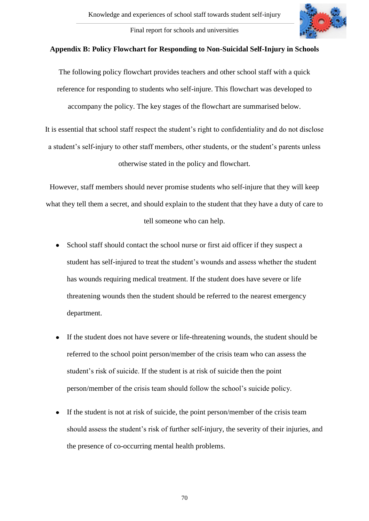

### **Appendix B: Policy Flowchart for Responding to Non-Suicidal Self-Injury in Schools**

The following policy flowchart provides teachers and other school staff with a quick reference for responding to students who self-injure. This flowchart was developed to accompany the policy. The key stages of the flowchart are summarised below.

It is essential that school staff respect the student's right to confidentiality and do not disclose a student's self-injury to other staff members, other students, or the student's parents unless otherwise stated in the policy and flowchart.

However, staff members should never promise students who self-injure that they will keep what they tell them a secret, and should explain to the student that they have a duty of care to

# tell someone who can help.

- School staff should contact the school nurse or first aid officer if they suspect a student has self-injured to treat the student's wounds and assess whether the student has wounds requiring medical treatment. If the student does have severe or life threatening wounds then the student should be referred to the nearest emergency department.
- If the student does not have severe or life-threatening wounds, the student should be referred to the school point person/member of the crisis team who can assess the student's risk of suicide. If the student is at risk of suicide then the point person/member of the crisis team should follow the school's suicide policy.
- If the student is not at risk of suicide, the point person/member of the crisis team  $\bullet$ should assess the student's risk of further self-injury, the severity of their injuries, and the presence of co-occurring mental health problems.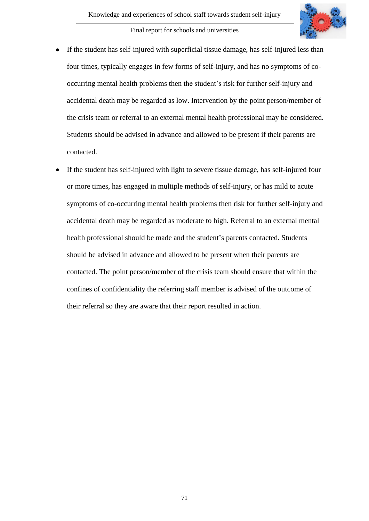

- If the student has self-injured with superficial tissue damage, has self-injured less than  $\bullet$ four times, typically engages in few forms of self-injury, and has no symptoms of cooccurring mental health problems then the student's risk for further self-injury and accidental death may be regarded as low. Intervention by the point person/member of the crisis team or referral to an external mental health professional may be considered. Students should be advised in advance and allowed to be present if their parents are contacted.
- If the student has self-injured with light to severe tissue damage, has self-injured four  $\bullet$ or more times, has engaged in multiple methods of self-injury, or has mild to acute symptoms of co-occurring mental health problems then risk for further self-injury and accidental death may be regarded as moderate to high. Referral to an external mental health professional should be made and the student's parents contacted. Students should be advised in advance and allowed to be present when their parents are contacted. The point person/member of the crisis team should ensure that within the confines of confidentiality the referring staff member is advised of the outcome of their referral so they are aware that their report resulted in action.